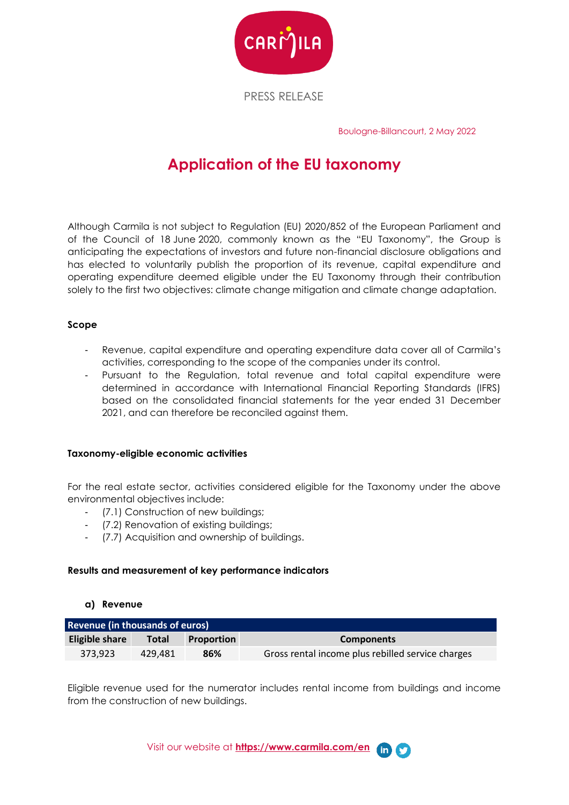

PRESS RELEASE

Boulogne-Billancourt, 2 May 2022

# **Application of the EU taxonomy**

Although Carmila is not subject to Regulation (EU) 2020/852 of the European Parliament and of the Council of 18 June 2020, commonly known as the "EU Taxonomy", the Group is anticipating the expectations of investors and future non-financial disclosure obligations and has elected to voluntarily publish the proportion of its revenue, capital expenditure and operating expenditure deemed eligible under the EU Taxonomy through their contribution solely to the first two objectives: climate change mitigation and climate change adaptation.

### **Scope**

- Revenue, capital expenditure and operating expenditure data cover all of Carmila's activities, corresponding to the scope of the companies under its control.
- Pursuant to the Regulation, total revenue and total capital expenditure were determined in accordance with International Financial Reporting Standards (IFRS) based on the consolidated financial statements for the year ended 31 December 2021, and can therefore be reconciled against them.

#### **Taxonomy-eligible economic activities**

For the real estate sector, activities considered eligible for the Taxonomy under the above environmental objectives include:

- (7.1) Construction of new buildings;
- (7.2) Renovation of existing buildings;
- (7.7) Acquisition and ownership of buildings.

#### **Results and measurement of key performance indicators**

#### **a) Revenue**

| <b>Revenue (in thousands of euros)</b> |         |                   |                                                   |  |  |
|----------------------------------------|---------|-------------------|---------------------------------------------------|--|--|
| Eligible share                         | Total   | <b>Proportion</b> | <b>Components</b>                                 |  |  |
| 373.923                                | 429.481 | 86%               | Gross rental income plus rebilled service charges |  |  |

Eligible revenue used for the numerator includes rental income from buildings and income from the construction of new buildings.

Visit our website at **[https://www.carmila.com/en](https://www.carmila.com/en/)**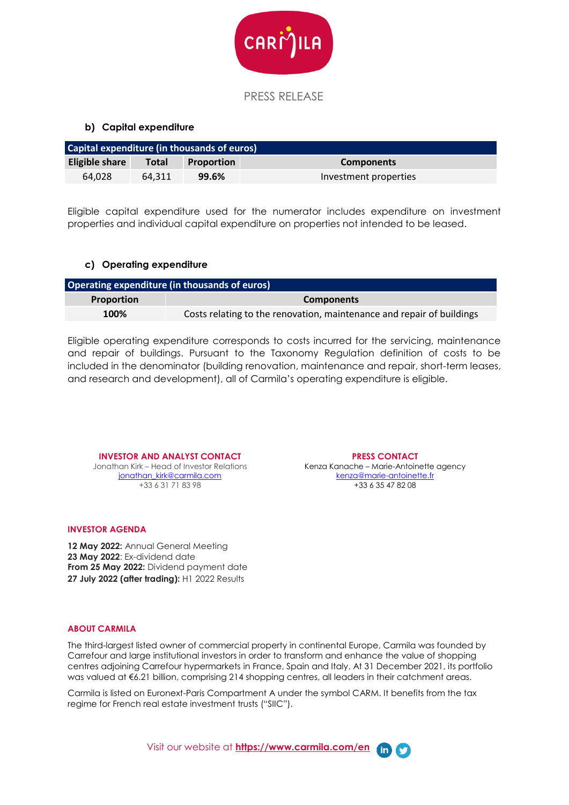

## **b) Capital expenditure**

| Capital expenditure (in thousands of euros) |        |                   |                       |  |  |
|---------------------------------------------|--------|-------------------|-----------------------|--|--|
| Eligible share                              | Total  | <b>Proportion</b> | <b>Components</b>     |  |  |
| 64.028                                      | 64.311 | 99.6%             | Investment properties |  |  |

Eligible capital expenditure used for the numerator includes expenditure on investment properties and individual capital expenditure on properties not intended to be leased.

#### **c) Operating expenditure**

| Operating expenditure (in thousands of euros) |                                                                       |  |  |  |
|-----------------------------------------------|-----------------------------------------------------------------------|--|--|--|
| <b>Proportion</b>                             | <b>Components</b>                                                     |  |  |  |
| 100%                                          | Costs relating to the renovation, maintenance and repair of buildings |  |  |  |

Eligible operating expenditure corresponds to costs incurred for the servicing, maintenance and repair of buildings. Pursuant to the Taxonomy Regulation definition of costs to be included in the denominator (building renovation, maintenance and repair, short-term leases, and research and development), all of Carmila's operating expenditure is eligible.

**INVESTOR AND ANALYST CONTACT** Jonathan Kirk – Head of Investor Relations

jonathan\_kirk@carmila.com +33 6 31 71 83 98

#### **INVESTOR AGENDA**

**12 May 2022:** Annual General Meeting **23 May 2022**: Ex-dividend date **From 25 May 2022:** Dividend payment date **27 July 2022 (after trading):** H1 2022 Results

#### **ABOUT CARMILA**

The third-largest listed owner of commercial property in continental Europe, Carmila was founded by Carrefour and large institutional investors in order to transform and enhance the value of shopping centres adjoining Carrefour hypermarkets in France, Spain and Italy. At 31 December 2021, its portfolio was valued at €6.21 billion, comprising 214 shopping centres, all leaders in their catchment areas.

Carmila is listed on Euronext-Paris Compartment A under the symbol CARM. It benefits from the tax regime for French real estate investment trusts ("SIIC").

Visit our website at **[https://www.carmila.com/en](https://www.carmila.com/en/)**

#### **PRESS CONTACT**

Kenza Kanache – Marie-Antoinette agency kenza@marie-antoinette.fr +33 6 35 47 82 08